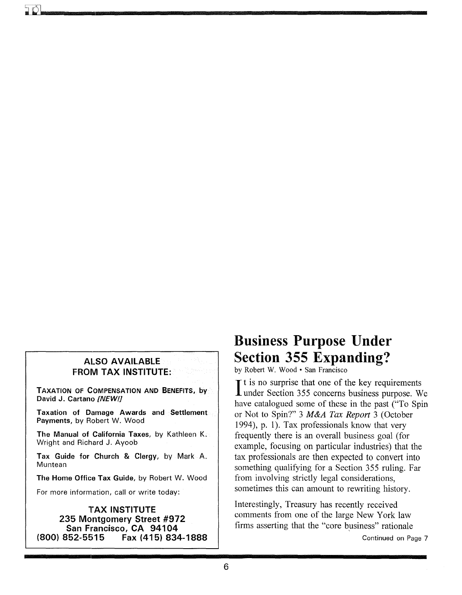# **ALSO AVAILABLE FROM TAX INSTITUTE:**

**TAXATION OF COMPENSATION AND BENEFITS, by David J. Cartano** *[NEW!]* 

**Taxation of Damage Awards and Settlement Payments,** by Robert W. Wood

**The Manual of California Taxes,** by Kathleen K. Wright and Richard J. Ayoob

**Tax Guide for Church & Clergy,** by Mark A. Muntean

**The Home Office Tax Guide,** by Robert W. Wood

For more information, call or write today:

### **TAX INSTITUTE 235 Montgomery Street #972 San Francisco, CA 94104**<br>834 **(800) 852-5515 Fax (415) (800) 852-5515 Fax (415) 834-1888**

# **Business Purpose Under Section 355 Expanding?**

by Robert W. Wood· San Francisco

It is no surprise that one of the key requirements<br>under Section 355 concerns business purpose. We  $\mathbf{T}$  t is no surprise that one of the key requirements have catalogued some of these in the past ("To Spin or Not to Spin?" 3 *M&A Tax Report* 3 (October 1994), p. 1). Tax professionals know that very frequently there is an overall business goal (for example, focusing on particular industries) that the tax professionals are then expected to convert into something qualifying for a Section 355 ruling. Far from involving strictly legal considerations, sometimes this can amount to rewriting history.

Interestingly, Treasury has recently received comments from one of the large New York law firms asserting that the "core business" rationale

Continued on Page 7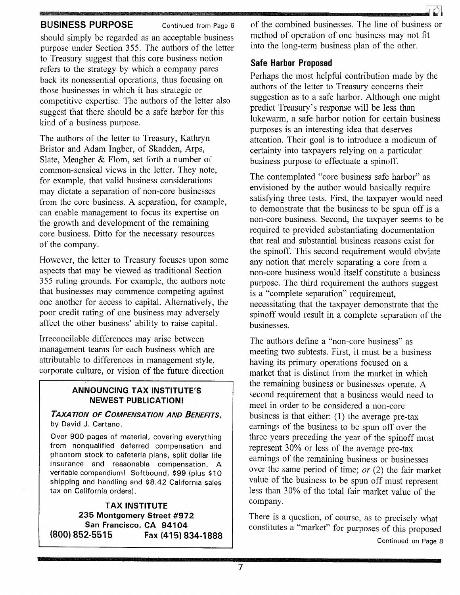## **BUSINESS PURPOSE** Continued from Page 6

should simply be regarded as an acceptable business purpose under Section 355. The authors of the letter to Treasury suggest that this core business notion refers to the strategy by which a company pares back its nonessential operations, thus focusing on those businesses in which it has strategic or competitive expertise. The authors of the letter also suggest that there should be a safe harbor for this kind of a business purpose.

The authors of the letter to Treasury, Kathryn Bristor and Adam Ingber, of Skadden, Arps, Slate, Meagher & Flom, set forth a number of common-sensical views in the letter. They note, for example, that valid business considerations may dictate a separation of non-core businesses from the core business. A separation, for example, can enable management to focus its expertise on the growth and development of the remaining core business. Ditto for the necessary resources of the company.

However, the letter to Treasury focuses upon some aspects that may be viewed as traditional Section 355 ruling grounds. For example, the authors note that businesses may commence competing against one another for access to capital. Alternatively, the poor credit rating of one business may adversely affect the other business' ability to raise capital.

Irreconcilable differences may arise between management teams for each business which are attributable to differences in management style, corporate culture, or vision of the future direction

## **ANNOUNCING TAX INSTITUTE'S NEWEST PUBLICATION!**

*TAXATION OF COMPENSATION AND BENEFITS,*  by David J. Cartano.

Over 900 pages of material, covering everything from nonqualified deferred compensation and phantom stock to cafeteria plans, split dollar life insurance and reasonable compensation. A veritable compendium! Softbound, \$99 (plus \$10 shipping and handling and \$8.42 California sales tax on California orders).

**TAX INSTITUTE 235 Montgomery Street #972 San Francisco, CA 94104 (800) 852-5515 Fax (415) 834-1888**  of the combined businesses. The line of business or method of operation of one business may not fit into the long-term business plan of the other.

## **Safe Harbor Proposed**

Perhaps the most helpful contribution made by the authors of the letter to Treasury concerns their suggestion as to a safe harbor. Although one might predict Treasury's response will be less than lukewarm, a safe harbor notion for certain business purposes is an interesting idea that deserves attention. Their goal is to introduce a modicum of certainty into taxpayers relying on a particular business purpose to effectuate a spinoff.

The contemplated "core business safe harbor" as envisioned by the author would basically require satisfying three tests. First, the taxpayer would need to demonstrate that the business to be spun off is a non-core business. Second, the taxpayer seems to be required to provided substantiating documentation that real and substantial business reasons exist for the spinoff. This second requirement would obviate any notion that merely separating a core from a non-core business would itself constitute a business purpose. The third requirement the authors suggest is a "complete separation" requirement, necessitating that the taxpayer demonstrate that the spinoff would result in a complete separation of the businesses.

The authors define a "non-core business" as meeting two subtests. First, it must be a business having its primary operations focused on a market that is distinct from the market in which the remaining business or businesses operate. A second requirement that a business would need to meet in order to be considered a non-core business is that either: (1) the average pre-tax earnings of the business to be spun off over the three years preceding the year of the spinoff must represent 30% or less of the average pre-tax earnings of the remaining business or businesses over the same period of time; *or* (2) the fair market value of the business to be spun off must represent less than 30% of the total fair market value of the company.

There is a question, of course, as to precisely what constitutes a "market" for purposes of this proposed Continued on Page 8